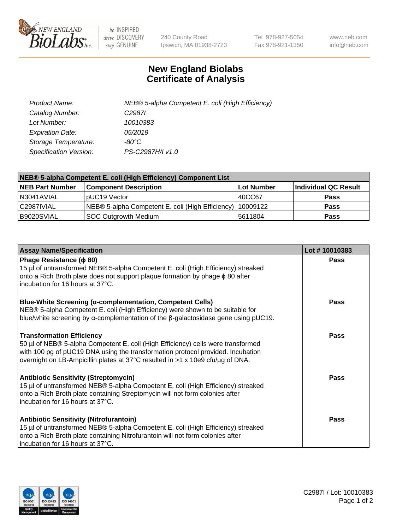

 $be$  INSPIRED drive DISCOVERY stay GENUINE

240 County Road Ipswich, MA 01938-2723 Tel 978-927-5054 Fax 978-921-1350 www.neb.com info@neb.com

## **New England Biolabs Certificate of Analysis**

| Product Name:           | NEB® 5-alpha Competent E. coli (High Efficiency) |
|-------------------------|--------------------------------------------------|
| Catalog Number:         | C <sub>2987</sub>                                |
| Lot Number:             | 10010383                                         |
| <b>Expiration Date:</b> | 05/2019                                          |
| Storage Temperature:    | -80°C                                            |
| Specification Version:  | PS-C2987H/I v1.0                                 |

| NEB® 5-alpha Competent E. coli (High Efficiency) Component List |                                                           |            |                      |  |
|-----------------------------------------------------------------|-----------------------------------------------------------|------------|----------------------|--|
| <b>NEB Part Number</b>                                          | <b>Component Description</b>                              | Lot Number | Individual QC Result |  |
| N3041AVIAL                                                      | pUC19 Vector                                              | 40CC67     | <b>Pass</b>          |  |
| C2987IVIAL                                                      | NEB® 5-alpha Competent E. coli (High Efficiency) 10009122 |            | <b>Pass</b>          |  |
| B9020SVIAL                                                      | <b>SOC Outgrowth Medium</b>                               | 5611804    | <b>Pass</b>          |  |

| <b>Assay Name/Specification</b>                                                                                                                                                                                                                                                           | Lot #10010383 |
|-------------------------------------------------------------------------------------------------------------------------------------------------------------------------------------------------------------------------------------------------------------------------------------------|---------------|
| Phage Resistance ( $\phi$ 80)<br>15 µl of untransformed NEB® 5-alpha Competent E. coli (High Efficiency) streaked<br>onto a Rich Broth plate does not support plaque formation by phage $\phi$ 80 after<br>incubation for 16 hours at 37°C.                                               | Pass          |
| <b>Blue-White Screening (α-complementation, Competent Cells)</b><br>NEB® 5-alpha Competent E. coli (High Efficiency) were shown to be suitable for<br>blue/white screening by $\alpha$ -complementation of the $\beta$ -galactosidase gene using pUC19.                                   | Pass          |
| <b>Transformation Efficiency</b><br>50 µl of NEB® 5-alpha Competent E. coli (High Efficiency) cells were transformed<br>with 100 pg of pUC19 DNA using the transformation protocol provided. Incubation<br>overnight on LB-Ampicillin plates at 37°C resulted in >1 x 10e9 cfu/µg of DNA. | <b>Pass</b>   |
| <b>Antibiotic Sensitivity (Streptomycin)</b><br>15 µl of untransformed NEB® 5-alpha Competent E. coli (High Efficiency) streaked<br>onto a Rich Broth plate containing Streptomycin will not form colonies after<br>incubation for 16 hours at 37°C.                                      | <b>Pass</b>   |
| <b>Antibiotic Sensitivity (Nitrofurantoin)</b><br>15 µl of untransformed NEB® 5-alpha Competent E. coli (High Efficiency) streaked<br>onto a Rich Broth plate containing Nitrofurantoin will not form colonies after<br>incubation for 16 hours at 37°C.                                  | Pass          |